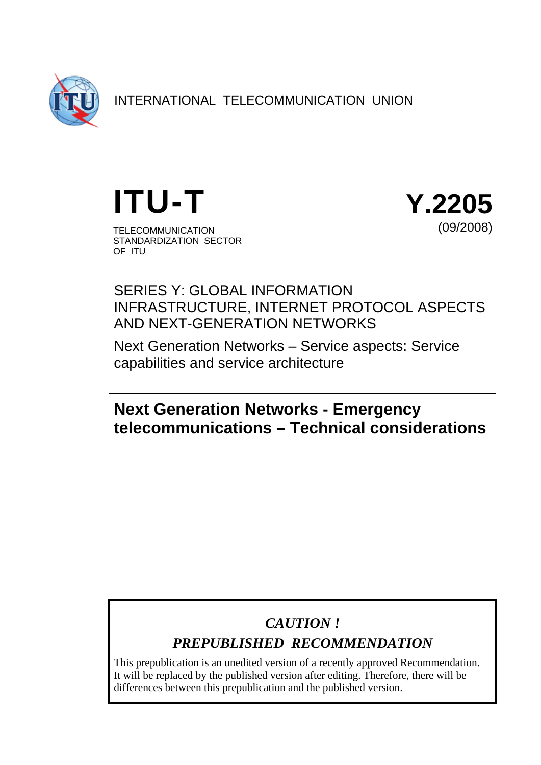

INTERNATIONAL TELECOMMUNICATION UNION



OF ITU

STANDARDIZATION SECTOR



SERIES Y: GLOBAL INFORMATION INFRASTRUCTURE, INTERNET PROTOCOL ASPECTS AND NEXT-GENERATION NETWORKS

Next Generation Networks – Service aspects: Service capabilities and service architecture

# **Next Generation Networks - Emergency telecommunications – Technical considerations**

# *CAUTION !*

# *PREPUBLISHED RECOMMENDATION*

This prepublication is an unedited version of a recently approved Recommendation. It will be replaced by the published version after editing. Therefore, there will be differences between this prepublication and the published version.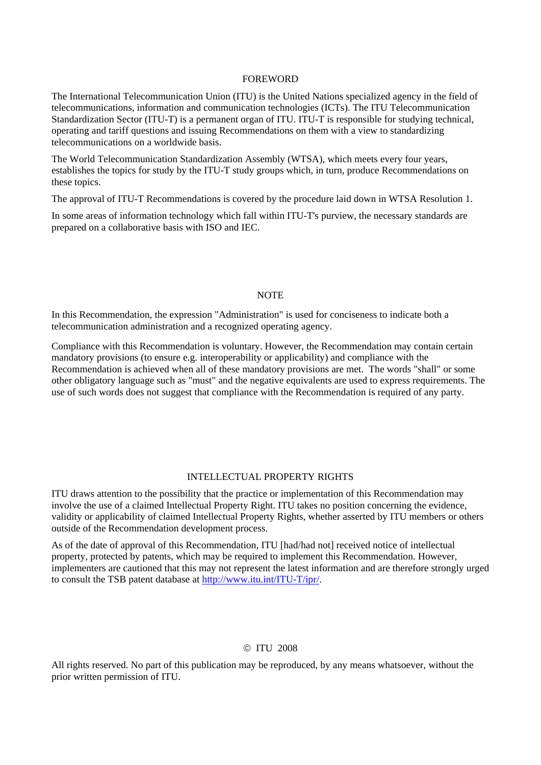#### FOREWORD

The International Telecommunication Union (ITU) is the United Nations specialized agency in the field of telecommunications, information and communication technologies (ICTs). The ITU Telecommunication Standardization Sector (ITU-T) is a permanent organ of ITU. ITU-T is responsible for studying technical, operating and tariff questions and issuing Recommendations on them with a view to standardizing telecommunications on a worldwide basis.

The World Telecommunication Standardization Assembly (WTSA), which meets every four years, establishes the topics for study by the ITU-T study groups which, in turn, produce Recommendations on these topics.

The approval of ITU-T Recommendations is covered by the procedure laid down in WTSA Resolution 1.

In some areas of information technology which fall within ITU-T's purview, the necessary standards are prepared on a collaborative basis with ISO and IEC.

#### **NOTE**

In this Recommendation, the expression "Administration" is used for conciseness to indicate both a telecommunication administration and a recognized operating agency.

Compliance with this Recommendation is voluntary. However, the Recommendation may contain certain mandatory provisions (to ensure e.g. interoperability or applicability) and compliance with the Recommendation is achieved when all of these mandatory provisions are met. The words "shall" or some other obligatory language such as "must" and the negative equivalents are used to express requirements. The use of such words does not suggest that compliance with the Recommendation is required of any party.

#### INTELLECTUAL PROPERTY RIGHTS

ITU draws attention to the possibility that the practice or implementation of this Recommendation may involve the use of a claimed Intellectual Property Right. ITU takes no position concerning the evidence, validity or applicability of claimed Intellectual Property Rights, whether asserted by ITU members or others outside of the Recommendation development process.

As of the date of approval of this Recommendation, ITU [had/had not] received notice of intellectual property, protected by patents, which may be required to implement this Recommendation. However, implementers are cautioned that this may not represent the latest information and are therefore strongly urged to consult the TSB patent database at http://www.itu.int/ITU-T/ipr/.

#### © ITU 2008

All rights reserved. No part of this publication may be reproduced, by any means whatsoever, without the prior written permission of ITU.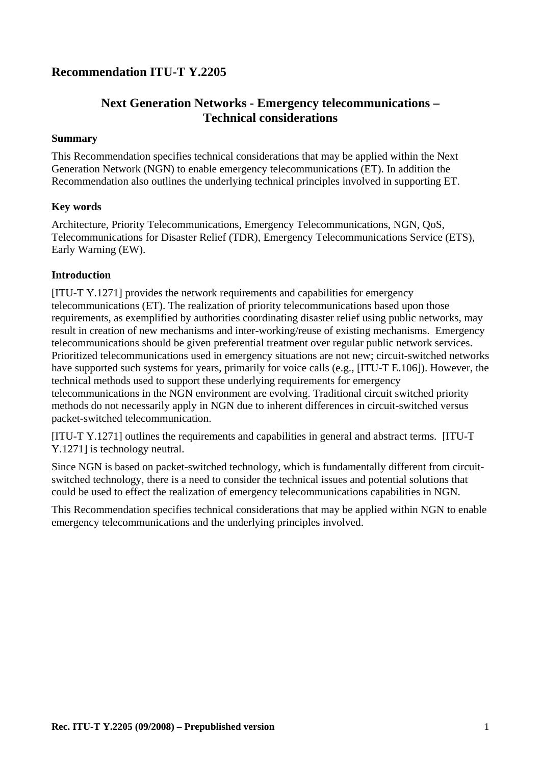## **Recommendation ITU-T Y.2205**

## **Next Generation Networks - Emergency telecommunications – Technical considerations**

#### **Summary**

This Recommendation specifies technical considerations that may be applied within the Next Generation Network (NGN) to enable emergency telecommunications (ET). In addition the Recommendation also outlines the underlying technical principles involved in supporting ET.

#### **Key words**

Architecture, Priority Telecommunications, Emergency Telecommunications, NGN, QoS, Telecommunications for Disaster Relief (TDR), Emergency Telecommunications Service (ETS), Early Warning (EW).

#### **Introduction**

[ITU-T Y.1271] provides the network requirements and capabilities for emergency telecommunications (ET). The realization of priority telecommunications based upon those requirements, as exemplified by authorities coordinating disaster relief using public networks, may result in creation of new mechanisms and inter-working/reuse of existing mechanisms. Emergency telecommunications should be given preferential treatment over regular public network services. Prioritized telecommunications used in emergency situations are not new; circuit-switched networks have supported such systems for years, primarily for voice calls (e.g., [ITU-T E.106]). However, the technical methods used to support these underlying requirements for emergency telecommunications in the NGN environment are evolving. Traditional circuit switched priority methods do not necessarily apply in NGN due to inherent differences in circuit-switched versus packet-switched telecommunication.

[ITU-T Y.1271] outlines the requirements and capabilities in general and abstract terms. [ITU-T Y.1271] is technology neutral.

Since NGN is based on packet-switched technology, which is fundamentally different from circuitswitched technology, there is a need to consider the technical issues and potential solutions that could be used to effect the realization of emergency telecommunications capabilities in NGN.

This Recommendation specifies technical considerations that may be applied within NGN to enable emergency telecommunications and the underlying principles involved.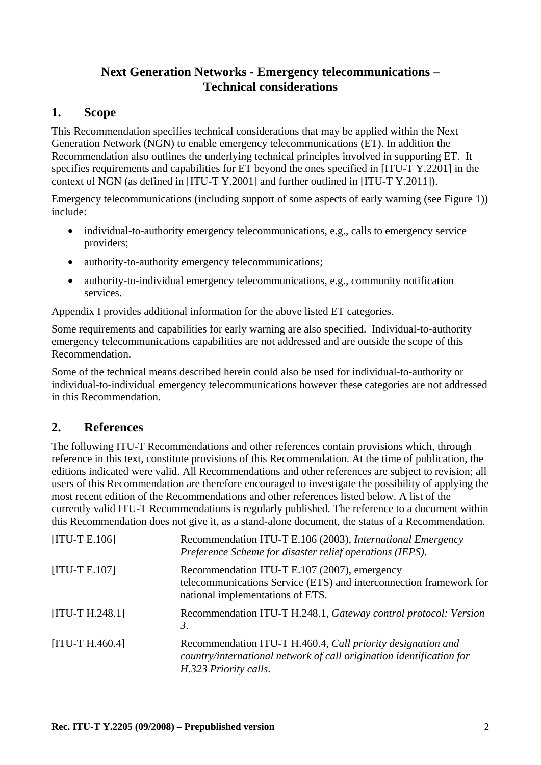## **Next Generation Networks - Emergency telecommunications – Technical considerations**

## **1. Scope**

This Recommendation specifies technical considerations that may be applied within the Next Generation Network (NGN) to enable emergency telecommunications (ET). In addition the Recommendation also outlines the underlying technical principles involved in supporting ET. It specifies requirements and capabilities for ET beyond the ones specified in [ITU-T Y.2201] in the context of NGN (as defined in [ITU-T Y.2001] and further outlined in [ITU-T Y.2011]).

Emergency telecommunications (including support of some aspects of early warning (see Figure 1)) include:

- individual-to-authority emergency telecommunications, e.g., calls to emergency service providers;
- authority-to-authority emergency telecommunications;
- authority-to-individual emergency telecommunications, e.g., community notification services.

Appendix I provides additional information for the above listed ET categories.

Some requirements and capabilities for early warning are also specified. Individual-to-authority emergency telecommunications capabilities are not addressed and are outside the scope of this Recommendation.

Some of the technical means described herein could also be used for individual-to-authority or individual-to-individual emergency telecommunications however these categories are not addressed in this Recommendation.

## **2. References**

The following ITU-T Recommendations and other references contain provisions which, through reference in this text, constitute provisions of this Recommendation. At the time of publication, the editions indicated were valid. All Recommendations and other references are subject to revision; all users of this Recommendation are therefore encouraged to investigate the possibility of applying the most recent edition of the Recommendations and other references listed below. A list of the currently valid ITU-T Recommendations is regularly published. The reference to a document within this Recommendation does not give it, as a stand-alone document, the status of a Recommendation.

| $[ITU-T E.106]$   | Recommendation ITU-T E.106 (2003), International Emergency<br>Preference Scheme for disaster relief operations (IEPS).                                       |
|-------------------|--------------------------------------------------------------------------------------------------------------------------------------------------------------|
| $[ITU-T E.107]$   | Recommendation ITU-T E.107 (2007), emergency<br>telecommunications Service (ETS) and interconnection framework for<br>national implementations of ETS.       |
| $[ITU-T H.248.1]$ | Recommendation ITU-T H.248.1, Gateway control protocol: Version<br>3.                                                                                        |
| $[ITU-T H.460.4]$ | Recommendation ITU-T H.460.4, Call priority designation and<br>country/international network of call origination identification for<br>H.323 Priority calls. |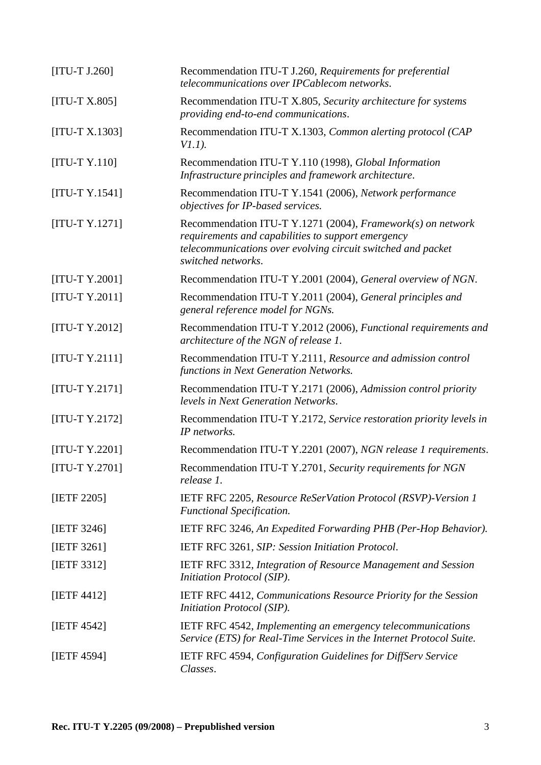| $[ITU-T J.260]$  | Recommendation ITU-T J.260, Requirements for preferential<br>telecommunications over IPCablecom networks.                                                                                               |
|------------------|---------------------------------------------------------------------------------------------------------------------------------------------------------------------------------------------------------|
| $[ITU-T X.805]$  | Recommendation ITU-T X.805, Security architecture for systems<br>providing end-to-end communications.                                                                                                   |
| $[ITU-T X.1303]$ | Recommendation ITU-T X.1303, Common alerting protocol (CAP<br>$VI.1$ ).                                                                                                                                 |
| $[ITU-T Y.110]$  | Recommendation ITU-T Y.110 (1998), Global Information<br>Infrastructure principles and framework architecture.                                                                                          |
| $[ITU-T Y.1541]$ | Recommendation ITU-T Y.1541 (2006), Network performance<br>objectives for IP-based services.                                                                                                            |
| $[ITU-T Y.1271]$ | Recommendation ITU-T Y.1271 (2004), Framework(s) on network<br>requirements and capabilities to support emergency<br>telecommunications over evolving circuit switched and packet<br>switched networks. |
| $[ITU-T Y.2001]$ | Recommendation ITU-T Y.2001 (2004), General overview of NGN.                                                                                                                                            |
| $[ITU-T Y.2011]$ | Recommendation ITU-T Y.2011 (2004), General principles and<br>general reference model for NGNs.                                                                                                         |
| $[ITU-T Y.2012]$ | Recommendation ITU-T Y.2012 (2006), Functional requirements and<br>architecture of the NGN of release 1.                                                                                                |
| $[ITU-T Y.2111]$ | Recommendation ITU-T Y.2111, Resource and admission control<br>functions in Next Generation Networks.                                                                                                   |
| $[ITU-T Y.2171]$ | Recommendation ITU-T Y.2171 (2006), Admission control priority<br>levels in Next Generation Networks.                                                                                                   |
| $[ITU-T Y.2172]$ | Recommendation ITU-T Y.2172, Service restoration priority levels in<br>IP networks.                                                                                                                     |
| $[ITU-T Y.2201]$ | Recommendation ITU-T Y.2201 (2007), NGN release 1 requirements.                                                                                                                                         |
| [ITU-T Y.2701]   | Recommendation ITU-T Y.2701, Security requirements for NGN<br>release 1.                                                                                                                                |
| [IETF 2205]      | IETF RFC 2205, Resource ReSerVation Protocol (RSVP)-Version 1<br><b>Functional Specification.</b>                                                                                                       |
| [IETF 3246]      | IETF RFC 3246, An Expedited Forwarding PHB (Per-Hop Behavior).                                                                                                                                          |
| [IETF 3261]      | IETF RFC 3261, SIP: Session Initiation Protocol.                                                                                                                                                        |
| [IETF $3312$ ]   | <b>IETF RFC 3312, Integration of Resource Management and Session</b><br>Initiation Protocol (SIP).                                                                                                      |
| [IETF $4412$ ]   | <b>IETF RFC 4412, Communications Resource Priority for the Session</b><br>Initiation Protocol (SIP).                                                                                                    |
| [IETF $4542$ ]   | <b>IETF RFC 4542, Implementing an emergency telecommunications</b><br>Service (ETS) for Real-Time Services in the Internet Protocol Suite.                                                              |
| [IETF 4594]      | IETF RFC 4594, Configuration Guidelines for DiffServ Service<br>Classes.                                                                                                                                |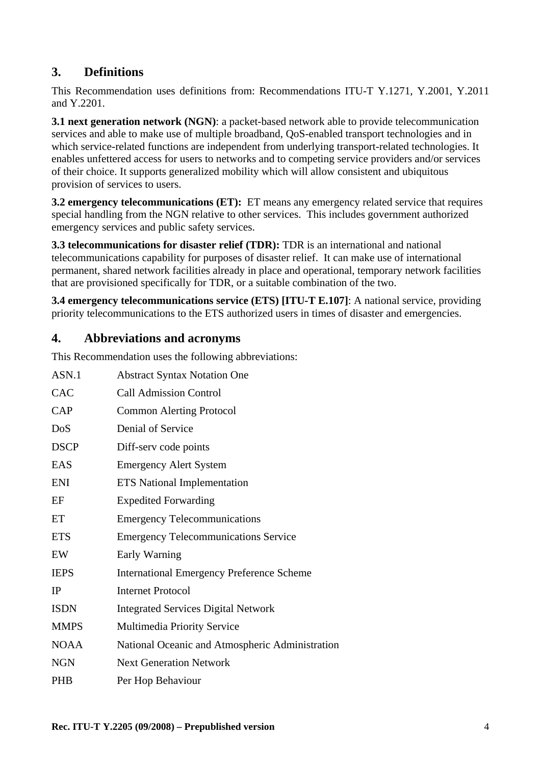## **3. Definitions**

This Recommendation uses definitions from: Recommendations ITU-T Y.1271, Y.2001, Y.2011 and Y.2201.

**3.1 next generation network (NGN)**: a packet-based network able to provide telecommunication services and able to make use of multiple broadband, QoS-enabled transport technologies and in which service-related functions are independent from underlying transport-related technologies. It enables unfettered access for users to networks and to competing service providers and/or services of their choice. It supports generalized mobility which will allow consistent and ubiquitous provision of services to users.

**3.2 emergency telecommunications (ET):** ET means any emergency related service that requires special handling from the NGN relative to other services. This includes government authorized emergency services and public safety services.

**3.3 telecommunications for disaster relief (TDR):** TDR is an international and national telecommunications capability for purposes of disaster relief. It can make use of international permanent, shared network facilities already in place and operational, temporary network facilities that are provisioned specifically for TDR, or a suitable combination of the two.

**3.4 emergency telecommunications service (ETS) [ITU-T E.107]**: A national service, providing priority telecommunications to the ETS authorized users in times of disaster and emergencies.

## **4. Abbreviations and acronyms**

This Recommendation uses the following abbreviations:

| ASN.1       | <b>Abstract Syntax Notation One</b>              |
|-------------|--------------------------------------------------|
| CAC         | <b>Call Admission Control</b>                    |
| CAP         | <b>Common Alerting Protocol</b>                  |
| DoS         | Denial of Service                                |
| <b>DSCP</b> | Diff-serv code points                            |
| <b>EAS</b>  | <b>Emergency Alert System</b>                    |
| <b>ENI</b>  | <b>ETS</b> National Implementation               |
| EF          | <b>Expedited Forwarding</b>                      |
| ET          | <b>Emergency Telecommunications</b>              |
| <b>ETS</b>  | <b>Emergency Telecommunications Service</b>      |
| EW          | Early Warning                                    |
| <b>IEPS</b> | <b>International Emergency Preference Scheme</b> |
| IP          | <b>Internet Protocol</b>                         |
| <b>ISDN</b> | <b>Integrated Services Digital Network</b>       |
| <b>MMPS</b> | Multimedia Priority Service                      |
| <b>NOAA</b> | National Oceanic and Atmospheric Administration  |
| <b>NGN</b>  | <b>Next Generation Network</b>                   |
| <b>PHB</b>  | Per Hop Behaviour                                |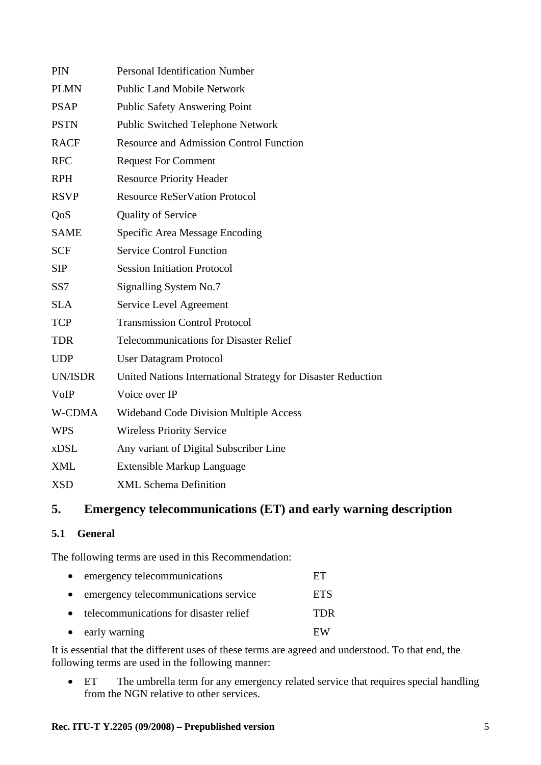| <b>PIN</b>      | <b>Personal Identification Number</b>                        |
|-----------------|--------------------------------------------------------------|
| <b>PLMN</b>     | <b>Public Land Mobile Network</b>                            |
| <b>PSAP</b>     | Public Safety Answering Point                                |
| <b>PSTN</b>     | <b>Public Switched Telephone Network</b>                     |
| <b>RACF</b>     | <b>Resource and Admission Control Function</b>               |
| <b>RFC</b>      | <b>Request For Comment</b>                                   |
| <b>RPH</b>      | <b>Resource Priority Header</b>                              |
| <b>RSVP</b>     | <b>Resource ReSerVation Protocol</b>                         |
| QoS             | <b>Quality of Service</b>                                    |
| <b>SAME</b>     | Specific Area Message Encoding                               |
| <b>SCF</b>      | <b>Service Control Function</b>                              |
| <b>SIP</b>      | <b>Session Initiation Protocol</b>                           |
| SS <sub>7</sub> | Signalling System No.7                                       |
| <b>SLA</b>      | Service Level Agreement                                      |
| <b>TCP</b>      | <b>Transmission Control Protocol</b>                         |
| <b>TDR</b>      | <b>Telecommunications for Disaster Relief</b>                |
| <b>UDP</b>      | <b>User Datagram Protocol</b>                                |
| <b>UN/ISDR</b>  | United Nations International Strategy for Disaster Reduction |
| VoIP            | Voice over IP                                                |
| W-CDMA          | <b>Wideband Code Division Multiple Access</b>                |
| <b>WPS</b>      | <b>Wireless Priority Service</b>                             |
| <b>xDSL</b>     | Any variant of Digital Subscriber Line                       |
| <b>XML</b>      | <b>Extensible Markup Language</b>                            |
| <b>XSD</b>      | <b>XML Schema Definition</b>                                 |

## **5. Emergency telecommunications (ET) and early warning description**

#### **5.1 General**

The following terms are used in this Recommendation:

| • emergency telecommunications           | ET         |
|------------------------------------------|------------|
| • emergency telecommunications service   | <b>ETS</b> |
| • telecommunications for disaster relief | TDR.       |
| • early warning                          | FW         |

It is essential that the different uses of these terms are agreed and understood. To that end, the following terms are used in the following manner:

• ET The umbrella term for any emergency related service that requires special handling from the NGN relative to other services.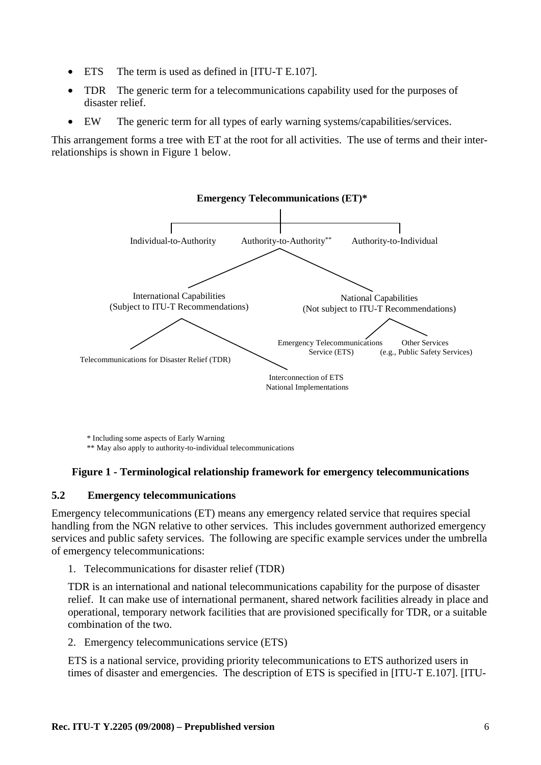- ETS The term is used as defined in [ITU-T E.107].
- TDR The generic term for a telecommunications capability used for the purposes of disaster relief.
- EW The generic term for all types of early warning systems/capabilities/services.

This arrangement forms a tree with ET at the root for all activities. The use of terms and their interrelationships is shown in Figure 1 below.



\* Including some aspects of Early Warning \*\* May also apply to authority-to-individual telecommunications

#### **Figure 1 - Terminological relationship framework for emergency telecommunications**

#### **5.2 Emergency telecommunications**

Emergency telecommunications (ET) means any emergency related service that requires special handling from the NGN relative to other services. This includes government authorized emergency services and public safety services. The following are specific example services under the umbrella of emergency telecommunications:

1. Telecommunications for disaster relief (TDR)

TDR is an international and national telecommunications capability for the purpose of disaster relief. It can make use of international permanent, shared network facilities already in place and operational, temporary network facilities that are provisioned specifically for TDR, or a suitable combination of the two.

2. Emergency telecommunications service (ETS)

ETS is a national service, providing priority telecommunications to ETS authorized users in times of disaster and emergencies. The description of ETS is specified in [ITU-T E.107]. [ITU-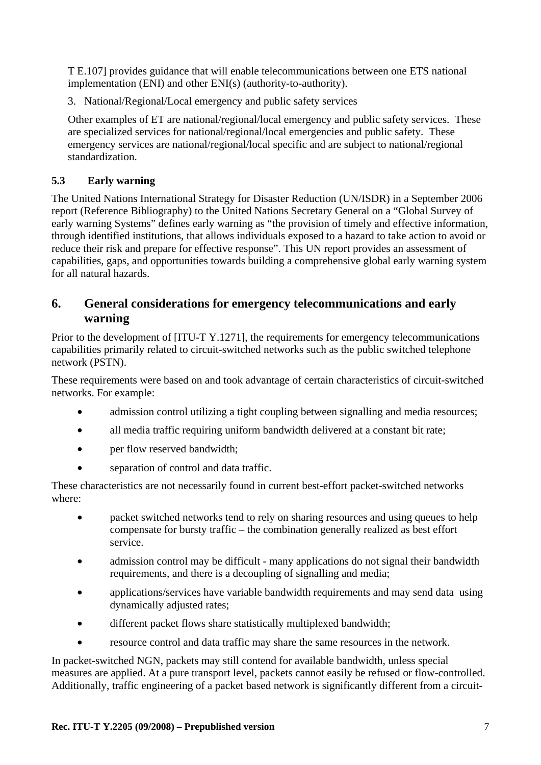T E.107] provides guidance that will enable telecommunications between one ETS national implementation (ENI) and other ENI(s) (authority-to-authority).

3. National/Regional/Local emergency and public safety services

Other examples of ET are national/regional/local emergency and public safety services. These are specialized services for national/regional/local emergencies and public safety. These emergency services are national/regional/local specific and are subject to national/regional standardization.

## **5.3 Early warning**

The United Nations International Strategy for Disaster Reduction (UN/ISDR) in a September 2006 report (Reference Bibliography) to the United Nations Secretary General on a "Global Survey of early warning Systems" defines early warning as "the provision of timely and effective information, through identified institutions, that allows individuals exposed to a hazard to take action to avoid or reduce their risk and prepare for effective response". This UN report provides an assessment of capabilities, gaps, and opportunities towards building a comprehensive global early warning system for all natural hazards.

## **6. General considerations for emergency telecommunications and early warning**

Prior to the development of [ITU-T Y.1271], the requirements for emergency telecommunications capabilities primarily related to circuit-switched networks such as the public switched telephone network (PSTN).

These requirements were based on and took advantage of certain characteristics of circuit-switched networks. For example:

- admission control utilizing a tight coupling between signalling and media resources;
- all media traffic requiring uniform bandwidth delivered at a constant bit rate;
- per flow reserved bandwidth;
- separation of control and data traffic.

These characteristics are not necessarily found in current best-effort packet-switched networks where:

- packet switched networks tend to rely on sharing resources and using queues to help compensate for bursty traffic – the combination generally realized as best effort service.
- admission control may be difficult many applications do not signal their bandwidth requirements, and there is a decoupling of signalling and media;
- applications/services have variable bandwidth requirements and may send data using dynamically adjusted rates;
- different packet flows share statistically multiplexed bandwidth;
- resource control and data traffic may share the same resources in the network.

In packet-switched NGN, packets may still contend for available bandwidth, unless special measures are applied. At a pure transport level, packets cannot easily be refused or flow-controlled. Additionally, traffic engineering of a packet based network is significantly different from a circuit-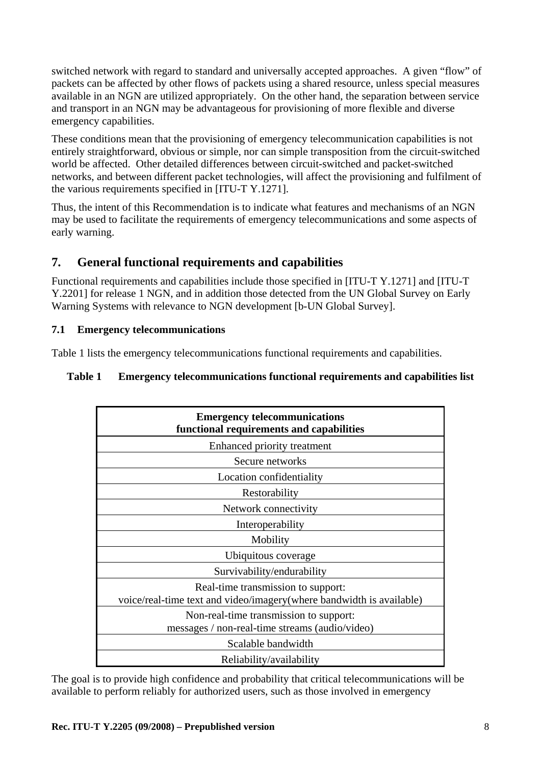switched network with regard to standard and universally accepted approaches. A given "flow" of packets can be affected by other flows of packets using a shared resource, unless special measures available in an NGN are utilized appropriately. On the other hand, the separation between service and transport in an NGN may be advantageous for provisioning of more flexible and diverse emergency capabilities.

These conditions mean that the provisioning of emergency telecommunication capabilities is not entirely straightforward, obvious or simple, nor can simple transposition from the circuit-switched world be affected. Other detailed differences between circuit-switched and packet-switched networks, and between different packet technologies, will affect the provisioning and fulfilment of the various requirements specified in [ITU-T Y.1271].

Thus, the intent of this Recommendation is to indicate what features and mechanisms of an NGN may be used to facilitate the requirements of emergency telecommunications and some aspects of early warning.

## **7. General functional requirements and capabilities**

Functional requirements and capabilities include those specified in [ITU-T Y.1271] and [ITU-T Y.2201] for release 1 NGN, and in addition those detected from the UN Global Survey on Early Warning Systems with relevance to NGN development [b-UN Global Survey].

#### **7.1 Emergency telecommunications**

Table 1 lists the emergency telecommunications functional requirements and capabilities.

#### **Table 1 Emergency telecommunications functional requirements and capabilities list**

| <b>Emergency telecommunications</b><br>functional requirements and capabilities                            |  |  |
|------------------------------------------------------------------------------------------------------------|--|--|
| Enhanced priority treatment                                                                                |  |  |
| Secure networks                                                                                            |  |  |
| Location confidentiality                                                                                   |  |  |
| Restorability                                                                                              |  |  |
| Network connectivity                                                                                       |  |  |
| Interoperability                                                                                           |  |  |
| Mobility                                                                                                   |  |  |
| Ubiquitous coverage                                                                                        |  |  |
| Survivability/endurability                                                                                 |  |  |
| Real-time transmission to support:<br>voice/real-time text and video/imagery(where bandwidth is available) |  |  |
| Non-real-time transmission to support:<br>messages / non-real-time streams (audio/video)                   |  |  |
| Scalable bandwidth                                                                                         |  |  |
| Reliability/availability                                                                                   |  |  |

The goal is to provide high confidence and probability that critical telecommunications will be available to perform reliably for authorized users, such as those involved in emergency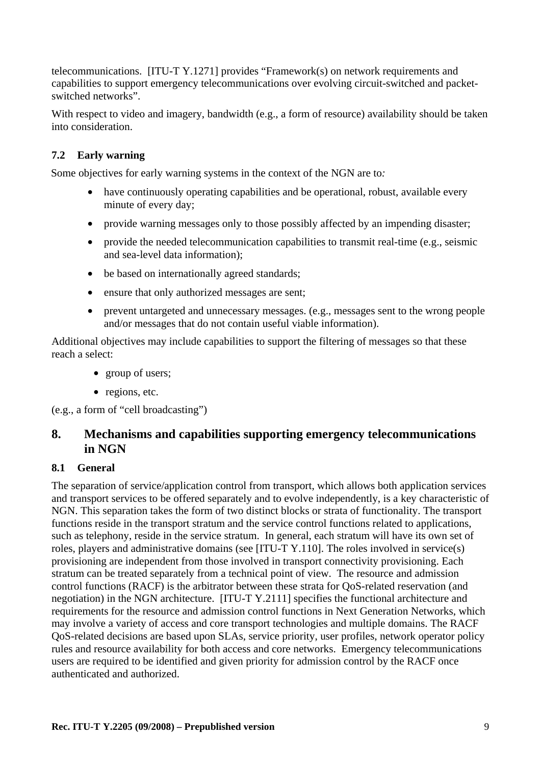telecommunications. [ITU-T Y.1271] provides "Framework(s) on network requirements and capabilities to support emergency telecommunications over evolving circuit-switched and packetswitched networks".

With respect to video and imagery, bandwidth (e.g., a form of resource) availability should be taken into consideration.

## **7.2 Early warning**

Some objectives for early warning systems in the context of the NGN are to*:* 

- have continuously operating capabilities and be operational, robust, available every minute of every day;
- provide warning messages only to those possibly affected by an impending disaster;
- provide the needed telecommunication capabilities to transmit real-time (e.g., seismic and sea-level data information);
- be based on internationally agreed standards;
- ensure that only authorized messages are sent;
- prevent untargeted and unnecessary messages. (e.g., messages sent to the wrong people and/or messages that do not contain useful viable information).

Additional objectives may include capabilities to support the filtering of messages so that these reach a select:

- group of users;
- regions, etc.

(e.g., a form of "cell broadcasting")

## **8. Mechanisms and capabilities supporting emergency telecommunications in NGN**

## **8.1 General**

The separation of service/application control from transport, which allows both application services and transport services to be offered separately and to evolve independently, is a key characteristic of NGN. This separation takes the form of two distinct blocks or strata of functionality. The transport functions reside in the transport stratum and the service control functions related to applications, such as telephony, reside in the service stratum. In general, each stratum will have its own set of roles, players and administrative domains (see [ITU-T Y.110]. The roles involved in service(s) provisioning are independent from those involved in transport connectivity provisioning. Each stratum can be treated separately from a technical point of view. The resource and admission control functions (RACF) is the arbitrator between these strata for QoS-related reservation (and negotiation) in the NGN architecture. [ITU-T Y.2111] specifies the functional architecture and requirements for the resource and admission control functions in Next Generation Networks, which may involve a variety of access and core transport technologies and multiple domains. The RACF QoS-related decisions are based upon SLAs, service priority, user profiles, network operator policy rules and resource availability for both access and core networks. Emergency telecommunications users are required to be identified and given priority for admission control by the RACF once authenticated and authorized.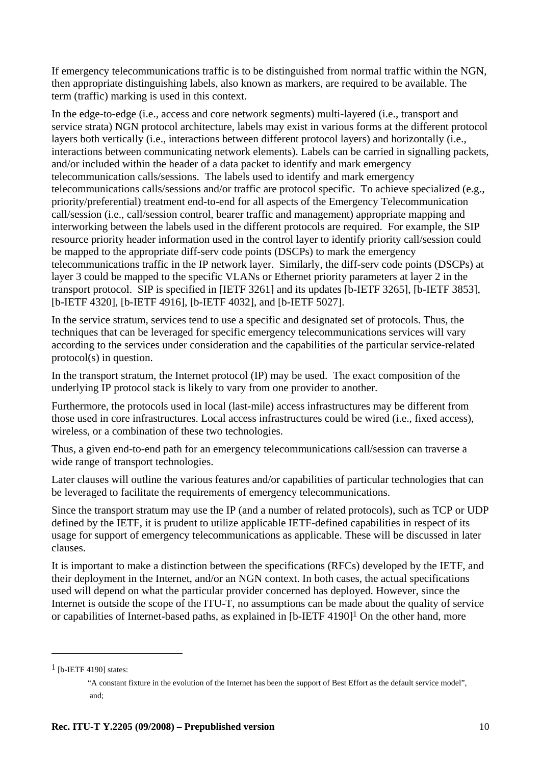If emergency telecommunications traffic is to be distinguished from normal traffic within the NGN, then appropriate distinguishing labels, also known as markers, are required to be available. The term (traffic) marking is used in this context.

In the edge-to-edge (i.e., access and core network segments) multi-layered (i.e., transport and service strata) NGN protocol architecture, labels may exist in various forms at the different protocol layers both vertically (i.e., interactions between different protocol layers) and horizontally (i.e., interactions between communicating network elements). Labels can be carried in signalling packets, and/or included within the header of a data packet to identify and mark emergency telecommunication calls/sessions. The labels used to identify and mark emergency telecommunications calls/sessions and/or traffic are protocol specific. To achieve specialized (e.g., priority/preferential) treatment end-to-end for all aspects of the Emergency Telecommunication call/session (i.e., call/session control, bearer traffic and management) appropriate mapping and interworking between the labels used in the different protocols are required. For example, the SIP resource priority header information used in the control layer to identify priority call/session could be mapped to the appropriate diff-serv code points (DSCPs) to mark the emergency telecommunications traffic in the IP network layer. Similarly, the diff-serv code points (DSCPs) at layer 3 could be mapped to the specific VLANs or Ethernet priority parameters at layer 2 in the transport protocol. SIP is specified in [IETF 3261] and its updates [b-IETF 3265], [b-IETF 3853], [b-IETF 4320], [b-IETF 4916], [b-IETF 4032], and [b-IETF 5027].

In the service stratum, services tend to use a specific and designated set of protocols. Thus, the techniques that can be leveraged for specific emergency telecommunications services will vary according to the services under consideration and the capabilities of the particular service-related protocol(s) in question.

In the transport stratum, the Internet protocol (IP) may be used. The exact composition of the underlying IP protocol stack is likely to vary from one provider to another.

Furthermore, the protocols used in local (last-mile) access infrastructures may be different from those used in core infrastructures. Local access infrastructures could be wired (i.e., fixed access), wireless, or a combination of these two technologies.

Thus, a given end-to-end path for an emergency telecommunications call/session can traverse a wide range of transport technologies.

Later clauses will outline the various features and/or capabilities of particular technologies that can be leveraged to facilitate the requirements of emergency telecommunications.

Since the transport stratum may use the IP (and a number of related protocols), such as TCP or UDP defined by the IETF, it is prudent to utilize applicable IETF-defined capabilities in respect of its usage for support of emergency telecommunications as applicable. These will be discussed in later clauses.

It is important to make a distinction between the specifications (RFCs) developed by the IETF, and their deployment in the Internet, and/or an NGN context. In both cases, the actual specifications used will depend on what the particular provider concerned has deployed. However, since the Internet is outside the scope of the ITU-T, no assumptions can be made about the quality of service or capabilities of Internet-based paths, as explained in [b-IETF 4190]1 On the other hand, more

 $\overline{a}$ 

 $1$  [b-IETF 4190] states:

 <sup>&</sup>quot;A constant fixture in the evolution of the Internet has been the support of Best Effort as the default service model", and;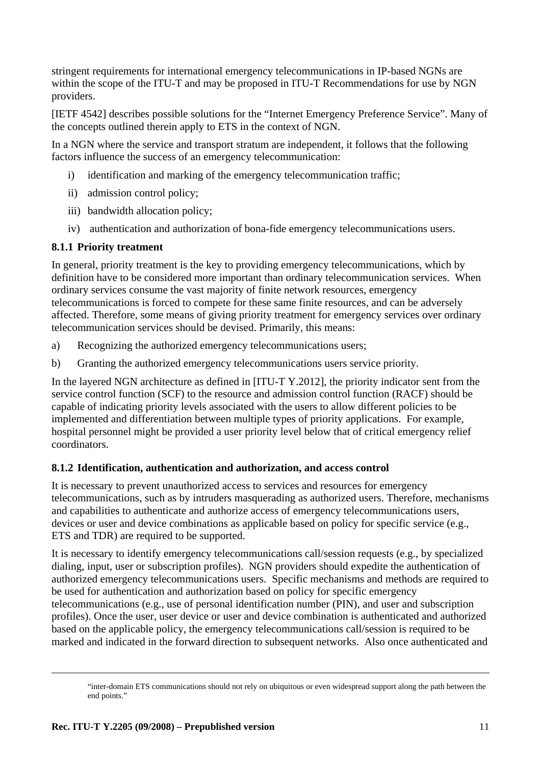stringent requirements for international emergency telecommunications in IP-based NGNs are within the scope of the ITU-T and may be proposed in ITU-T Recommendations for use by NGN providers.

[IETF 4542] describes possible solutions for the "Internet Emergency Preference Service". Many of the concepts outlined therein apply to ETS in the context of NGN.

In a NGN where the service and transport stratum are independent, it follows that the following factors influence the success of an emergency telecommunication:

- i) identification and marking of the emergency telecommunication traffic;
- ii) admission control policy;
- iii) bandwidth allocation policy;
- iv) authentication and authorization of bona-fide emergency telecommunications users.

#### **8.1.1 Priority treatment**

In general, priority treatment is the key to providing emergency telecommunications, which by definition have to be considered more important than ordinary telecommunication services. When ordinary services consume the vast majority of finite network resources, emergency telecommunications is forced to compete for these same finite resources, and can be adversely affected. Therefore, some means of giving priority treatment for emergency services over ordinary telecommunication services should be devised. Primarily, this means:

- a) Recognizing the authorized emergency telecommunications users;
- b) Granting the authorized emergency telecommunications users service priority.

In the layered NGN architecture as defined in [ITU-T Y.2012], the priority indicator sent from the service control function (SCF) to the resource and admission control function (RACF) should be capable of indicating priority levels associated with the users to allow different policies to be implemented and differentiation between multiple types of priority applications. For example, hospital personnel might be provided a user priority level below that of critical emergency relief coordinators.

#### **8.1.2 Identification, authentication and authorization, and access control**

It is necessary to prevent unauthorized access to services and resources for emergency telecommunications, such as by intruders masquerading as authorized users. Therefore, mechanisms and capabilities to authenticate and authorize access of emergency telecommunications users, devices or user and device combinations as applicable based on policy for specific service (e.g., ETS and TDR) are required to be supported.

It is necessary to identify emergency telecommunications call/session requests (e.g., by specialized dialing, input, user or subscription profiles). NGN providers should expedite the authentication of authorized emergency telecommunications users. Specific mechanisms and methods are required to be used for authentication and authorization based on policy for specific emergency telecommunications (e.g., use of personal identification number (PIN), and user and subscription profiles). Once the user, user device or user and device combination is authenticated and authorized based on the applicable policy, the emergency telecommunications call/session is required to be marked and indicated in the forward direction to subsequent networks. Also once authenticated and

 $\overline{a}$ 

 <sup>&</sup>quot;inter-domain ETS communications should not rely on ubiquitous or even widespread support along the path between the end points."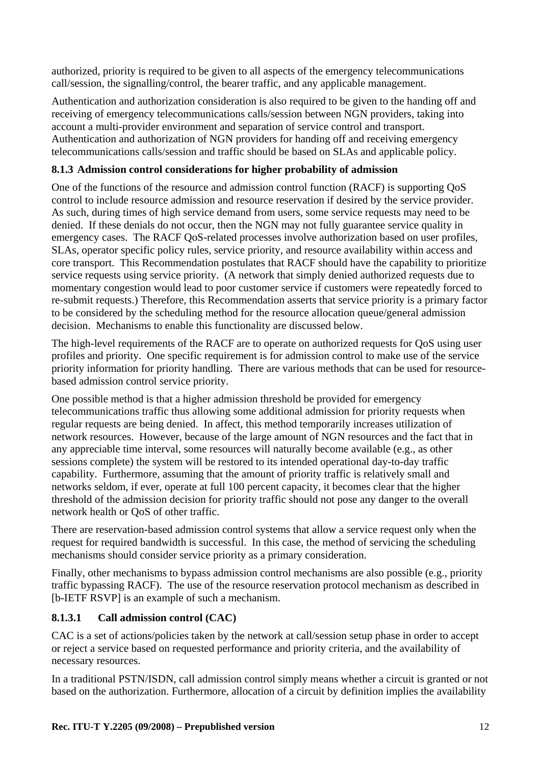authorized, priority is required to be given to all aspects of the emergency telecommunications call/session, the signalling/control, the bearer traffic, and any applicable management.

Authentication and authorization consideration is also required to be given to the handing off and receiving of emergency telecommunications calls/session between NGN providers, taking into account a multi-provider environment and separation of service control and transport. Authentication and authorization of NGN providers for handing off and receiving emergency telecommunications calls/session and traffic should be based on SLAs and applicable policy.

## **8.1.3 Admission control considerations for higher probability of admission**

One of the functions of the resource and admission control function (RACF) is supporting QoS control to include resource admission and resource reservation if desired by the service provider. As such, during times of high service demand from users, some service requests may need to be denied. If these denials do not occur, then the NGN may not fully guarantee service quality in emergency cases. The RACF QoS-related processes involve authorization based on user profiles, SLAs, operator specific policy rules, service priority, and resource availability within access and core transport. This Recommendation postulates that RACF should have the capability to prioritize service requests using service priority. (A network that simply denied authorized requests due to momentary congestion would lead to poor customer service if customers were repeatedly forced to re-submit requests.) Therefore, this Recommendation asserts that service priority is a primary factor to be considered by the scheduling method for the resource allocation queue/general admission decision. Mechanisms to enable this functionality are discussed below.

The high-level requirements of the RACF are to operate on authorized requests for QoS using user profiles and priority. One specific requirement is for admission control to make use of the service priority information for priority handling. There are various methods that can be used for resourcebased admission control service priority.

One possible method is that a higher admission threshold be provided for emergency telecommunications traffic thus allowing some additional admission for priority requests when regular requests are being denied. In affect, this method temporarily increases utilization of network resources. However, because of the large amount of NGN resources and the fact that in any appreciable time interval, some resources will naturally become available (e.g., as other sessions complete) the system will be restored to its intended operational day-to-day traffic capability. Furthermore, assuming that the amount of priority traffic is relatively small and networks seldom, if ever, operate at full 100 percent capacity, it becomes clear that the higher threshold of the admission decision for priority traffic should not pose any danger to the overall network health or QoS of other traffic.

There are reservation-based admission control systems that allow a service request only when the request for required bandwidth is successful. In this case, the method of servicing the scheduling mechanisms should consider service priority as a primary consideration.

Finally, other mechanisms to bypass admission control mechanisms are also possible (e.g., priority traffic bypassing RACF). The use of the resource reservation protocol mechanism as described in [b-IETF RSVP] is an example of such a mechanism.

## **8.1.3.1 Call admission control (CAC)**

CAC is a set of actions/policies taken by the network at call/session setup phase in order to accept or reject a service based on requested performance and priority criteria, and the availability of necessary resources.

In a traditional PSTN/ISDN, call admission control simply means whether a circuit is granted or not based on the authorization. Furthermore, allocation of a circuit by definition implies the availability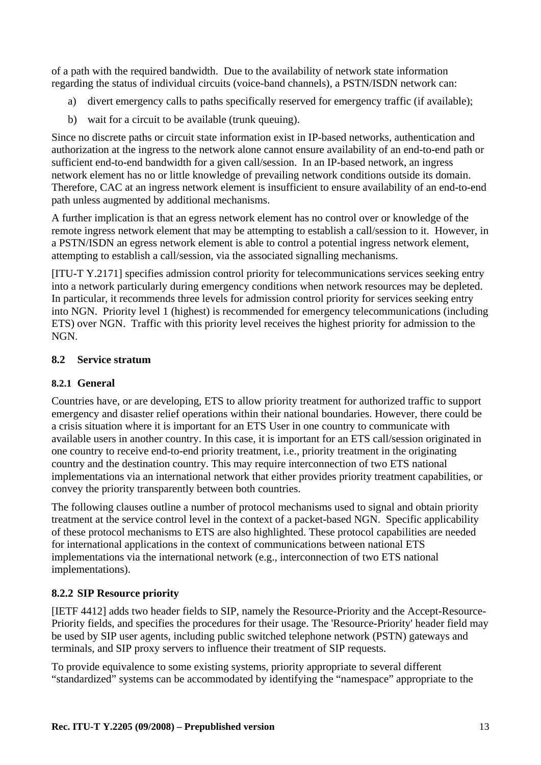of a path with the required bandwidth. Due to the availability of network state information regarding the status of individual circuits (voice-band channels), a PSTN/ISDN network can:

- a) divert emergency calls to paths specifically reserved for emergency traffic (if available);
- b) wait for a circuit to be available (trunk queuing).

Since no discrete paths or circuit state information exist in IP-based networks, authentication and authorization at the ingress to the network alone cannot ensure availability of an end-to-end path or sufficient end-to-end bandwidth for a given call/session. In an IP-based network, an ingress network element has no or little knowledge of prevailing network conditions outside its domain. Therefore, CAC at an ingress network element is insufficient to ensure availability of an end-to-end path unless augmented by additional mechanisms.

A further implication is that an egress network element has no control over or knowledge of the remote ingress network element that may be attempting to establish a call/session to it. However, in a PSTN/ISDN an egress network element is able to control a potential ingress network element, attempting to establish a call/session, via the associated signalling mechanisms.

[ITU-T Y.2171] specifies admission control priority for telecommunications services seeking entry into a network particularly during emergency conditions when network resources may be depleted. In particular, it recommends three levels for admission control priority for services seeking entry into NGN. Priority level 1 (highest) is recommended for emergency telecommunications (including ETS) over NGN. Traffic with this priority level receives the highest priority for admission to the NGN.

#### **8.2 Service stratum**

#### **8.2.1 General**

Countries have, or are developing, ETS to allow priority treatment for authorized traffic to support emergency and disaster relief operations within their national boundaries. However, there could be a crisis situation where it is important for an ETS User in one country to communicate with available users in another country. In this case, it is important for an ETS call/session originated in one country to receive end-to-end priority treatment, i.e., priority treatment in the originating country and the destination country. This may require interconnection of two ETS national implementations via an international network that either provides priority treatment capabilities, or convey the priority transparently between both countries.

The following clauses outline a number of protocol mechanisms used to signal and obtain priority treatment at the service control level in the context of a packet-based NGN. Specific applicability of these protocol mechanisms to ETS are also highlighted. These protocol capabilities are needed for international applications in the context of communications between national ETS implementations via the international network (e.g., interconnection of two ETS national implementations).

## **8.2.2 SIP Resource priority**

[IETF 4412] adds two header fields to SIP, namely the Resource-Priority and the Accept-Resource-Priority fields, and specifies the procedures for their usage. The 'Resource-Priority' header field may be used by SIP user agents, including public switched telephone network (PSTN) gateways and terminals, and SIP proxy servers to influence their treatment of SIP requests.

To provide equivalence to some existing systems, priority appropriate to several different "standardized" systems can be accommodated by identifying the "namespace" appropriate to the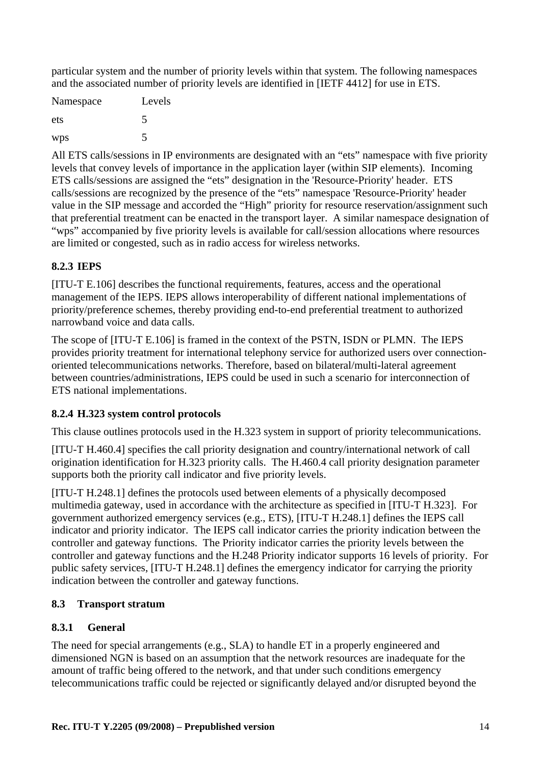particular system and the number of priority levels within that system. The following namespaces and the associated number of priority levels are identified in [IETF 4412] for use in ETS.

| Namespace | Levels |
|-----------|--------|
| ets       | 5      |
| wps       | 5      |

All ETS calls/sessions in IP environments are designated with an "ets" namespace with five priority levels that convey levels of importance in the application layer (within SIP elements). Incoming ETS calls/sessions are assigned the "ets" designation in the 'Resource-Priority' header. ETS calls/sessions are recognized by the presence of the "ets" namespace 'Resource-Priority' header value in the SIP message and accorded the "High" priority for resource reservation/assignment such that preferential treatment can be enacted in the transport layer. A similar namespace designation of "wps" accompanied by five priority levels is available for call/session allocations where resources are limited or congested, such as in radio access for wireless networks.

## **8.2.3 IEPS**

[ITU-T E.106] describes the functional requirements, features, access and the operational management of the IEPS. IEPS allows interoperability of different national implementations of priority/preference schemes, thereby providing end-to-end preferential treatment to authorized narrowband voice and data calls.

The scope of [ITU-T E.106] is framed in the context of the PSTN, ISDN or PLMN. The IEPS provides priority treatment for international telephony service for authorized users over connectionoriented telecommunications networks. Therefore, based on bilateral/multi-lateral agreement between countries/administrations, IEPS could be used in such a scenario for interconnection of ETS national implementations.

## **8.2.4 H.323 system control protocols**

This clause outlines protocols used in the H.323 system in support of priority telecommunications.

[ITU-T H.460.4] specifies the call priority designation and country/international network of call origination identification for H.323 priority calls. The H.460.4 call priority designation parameter supports both the priority call indicator and five priority levels.

[ITU-T H.248.1] defines the protocols used between elements of a physically decomposed multimedia gateway, used in accordance with the architecture as specified in [ITU-T H.323]. For government authorized emergency services (e.g., ETS), [ITU-T H.248.1] defines the IEPS call indicator and priority indicator. The IEPS call indicator carries the priority indication between the controller and gateway functions. The Priority indicator carries the priority levels between the controller and gateway functions and the H.248 Priority indicator supports 16 levels of priority. For public safety services, [ITU-T H.248.1] defines the emergency indicator for carrying the priority indication between the controller and gateway functions.

## **8.3 Transport stratum**

## **8.3.1 General**

The need for special arrangements (e.g., SLA) to handle ET in a properly engineered and dimensioned NGN is based on an assumption that the network resources are inadequate for the amount of traffic being offered to the network, and that under such conditions emergency telecommunications traffic could be rejected or significantly delayed and/or disrupted beyond the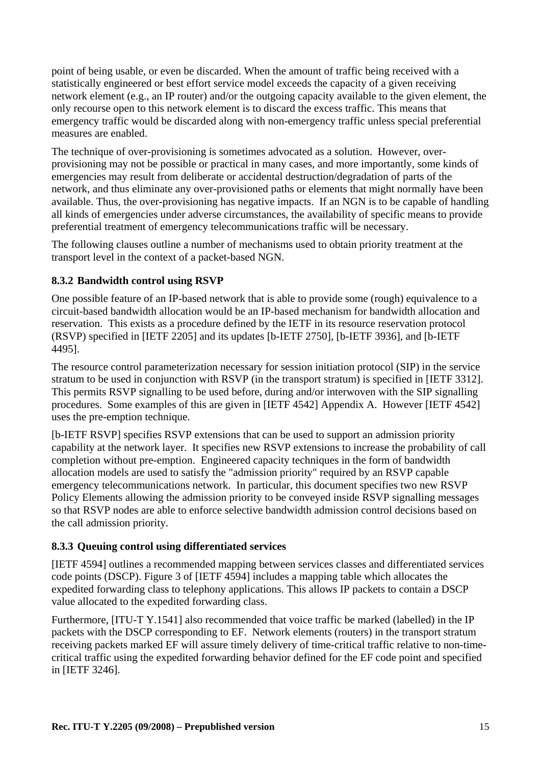point of being usable, or even be discarded. When the amount of traffic being received with a statistically engineered or best effort service model exceeds the capacity of a given receiving network element (e.g., an IP router) and/or the outgoing capacity available to the given element, the only recourse open to this network element is to discard the excess traffic. This means that emergency traffic would be discarded along with non-emergency traffic unless special preferential measures are enabled.

The technique of over-provisioning is sometimes advocated as a solution. However, overprovisioning may not be possible or practical in many cases, and more importantly, some kinds of emergencies may result from deliberate or accidental destruction/degradation of parts of the network, and thus eliminate any over-provisioned paths or elements that might normally have been available. Thus, the over-provisioning has negative impacts. If an NGN is to be capable of handling all kinds of emergencies under adverse circumstances, the availability of specific means to provide preferential treatment of emergency telecommunications traffic will be necessary.

The following clauses outline a number of mechanisms used to obtain priority treatment at the transport level in the context of a packet-based NGN.

#### **8.3.2 Bandwidth control using RSVP**

One possible feature of an IP-based network that is able to provide some (rough) equivalence to a circuit-based bandwidth allocation would be an IP-based mechanism for bandwidth allocation and reservation. This exists as a procedure defined by the IETF in its resource reservation protocol (RSVP) specified in [IETF 2205] and its updates [b-IETF 2750], [b-IETF 3936], and [b-IETF 4495].

The resource control parameterization necessary for session initiation protocol (SIP) in the service stratum to be used in conjunction with RSVP (in the transport stratum) is specified in [IETF 3312]. This permits RSVP signalling to be used before, during and/or interwoven with the SIP signalling procedures. Some examples of this are given in [IETF 4542] Appendix A. However [IETF 4542] uses the pre-emption technique.

[b-IETF RSVP] specifies RSVP extensions that can be used to support an admission priority capability at the network layer. It specifies new RSVP extensions to increase the probability of call completion without pre-emption. Engineered capacity techniques in the form of bandwidth allocation models are used to satisfy the "admission priority" required by an RSVP capable emergency telecommunications network. In particular, this document specifies two new RSVP Policy Elements allowing the admission priority to be conveyed inside RSVP signalling messages so that RSVP nodes are able to enforce selective bandwidth admission control decisions based on the call admission priority.

## **8.3.3 Queuing control using differentiated services**

[IETF 4594] outlines a recommended mapping between services classes and differentiated services code points (DSCP). Figure 3 of [IETF 4594] includes a mapping table which allocates the expedited forwarding class to telephony applications. This allows IP packets to contain a DSCP value allocated to the expedited forwarding class.

Furthermore, [ITU-T Y.1541] also recommended that voice traffic be marked (labelled) in the IP packets with the DSCP corresponding to EF. Network elements (routers) in the transport stratum receiving packets marked EF will assure timely delivery of time-critical traffic relative to non-timecritical traffic using the expedited forwarding behavior defined for the EF code point and specified in [IETF 3246].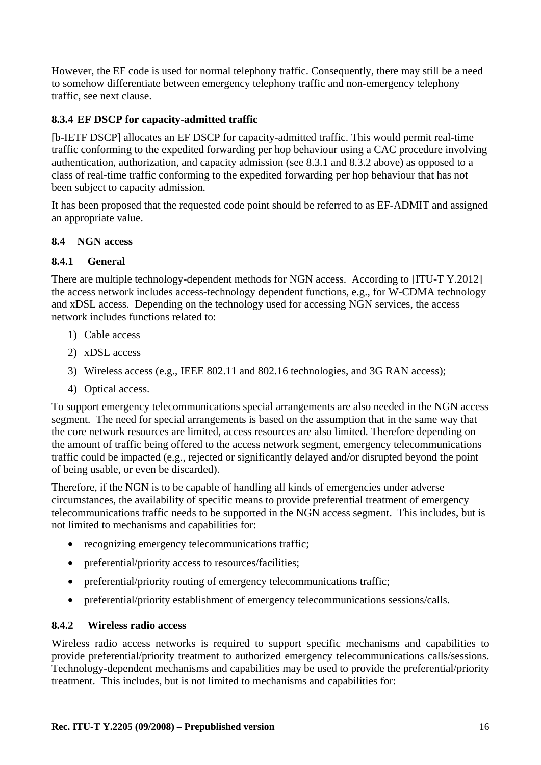However, the EF code is used for normal telephony traffic. Consequently, there may still be a need to somehow differentiate between emergency telephony traffic and non-emergency telephony traffic, see next clause.

## **8.3.4 EF DSCP for capacity-admitted traffic**

[b-IETF DSCP] allocates an EF DSCP for capacity-admitted traffic. This would permit real-time traffic conforming to the expedited forwarding per hop behaviour using a CAC procedure involving authentication, authorization, and capacity admission (see 8.3.1 and 8.3.2 above) as opposed to a class of real-time traffic conforming to the expedited forwarding per hop behaviour that has not been subject to capacity admission.

It has been proposed that the requested code point should be referred to as EF-ADMIT and assigned an appropriate value.

#### **8.4 NGN access**

#### **8.4.1 General**

There are multiple technology-dependent methods for NGN access. According to [ITU-T Y.2012] the access network includes access-technology dependent functions, e.g., for W-CDMA technology and xDSL access. Depending on the technology used for accessing NGN services, the access network includes functions related to:

- 1) Cable access
- 2) xDSL access
- 3) Wireless access (e.g., IEEE 802.11 and 802.16 technologies, and 3G RAN access);
- 4) Optical access.

To support emergency telecommunications special arrangements are also needed in the NGN access segment. The need for special arrangements is based on the assumption that in the same way that the core network resources are limited, access resources are also limited. Therefore depending on the amount of traffic being offered to the access network segment, emergency telecommunications traffic could be impacted (e.g., rejected or significantly delayed and/or disrupted beyond the point of being usable, or even be discarded).

Therefore, if the NGN is to be capable of handling all kinds of emergencies under adverse circumstances, the availability of specific means to provide preferential treatment of emergency telecommunications traffic needs to be supported in the NGN access segment. This includes, but is not limited to mechanisms and capabilities for:

- recognizing emergency telecommunications traffic;
- preferential/priority access to resources/facilities:
- preferential/priority routing of emergency telecommunications traffic;
- preferential/priority establishment of emergency telecommunications sessions/calls.

#### **8.4.2 Wireless radio access**

Wireless radio access networks is required to support specific mechanisms and capabilities to provide preferential/priority treatment to authorized emergency telecommunications calls/sessions. Technology-dependent mechanisms and capabilities may be used to provide the preferential/priority treatment. This includes, but is not limited to mechanisms and capabilities for: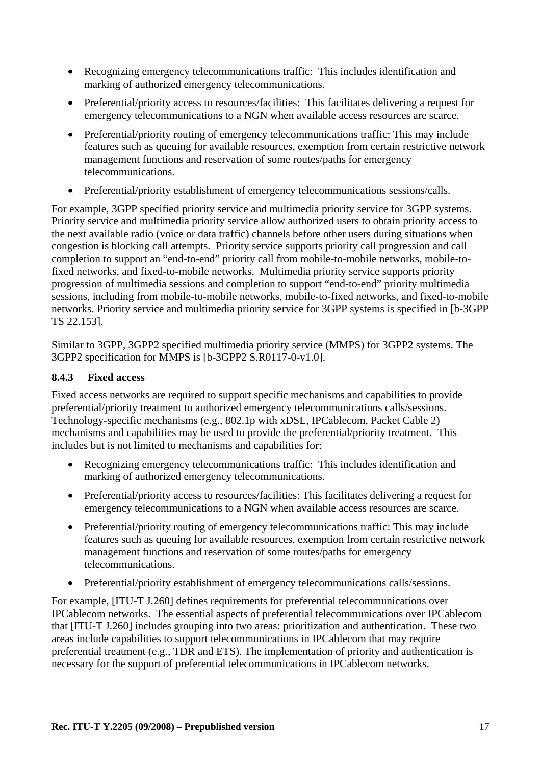- Recognizing emergency telecommunications traffic: This includes identification and marking of authorized emergency telecommunications.
- Preferential/priority access to resources/facilities: This facilitates delivering a request for emergency telecommunications to a NGN when available access resources are scarce.
- Preferential/priority routing of emergency telecommunications traffic: This may include features such as queuing for available resources, exemption from certain restrictive network management functions and reservation of some routes/paths for emergency telecommunications.
- Preferential/priority establishment of emergency telecommunications sessions/calls.

For example, 3GPP specified priority service and multimedia priority service for 3GPP systems. Priority service and multimedia priority service allow authorized users to obtain priority access to the next available radio (voice or data traffic) channels before other users during situations when congestion is blocking call attempts. Priority service supports priority call progression and call completion to support an "end-to-end" priority call from mobile-to-mobile networks, mobile-tofixed networks, and fixed-to-mobile networks. Multimedia priority service supports priority progression of multimedia sessions and completion to support "end-to-end" priority multimedia sessions, including from mobile-to-mobile networks, mobile-to-fixed networks, and fixed-to-mobile networks. Priority service and multimedia priority service for 3GPP systems is specified in [b-3GPP TS 22.153].

Similar to 3GPP, 3GPP2 specified multimedia priority service (MMPS) for 3GPP2 systems. The 3GPP2 specification for MMPS is [b-3GPP2 S.R0117-0-v1.0].

#### **8.4.3 Fixed access**

Fixed access networks are required to support specific mechanisms and capabilities to provide preferential/priority treatment to authorized emergency telecommunications calls/sessions. Technology-specific mechanisms (e.g., 802.1p with xDSL, IPCablecom, Packet Cable 2) mechanisms and capabilities may be used to provide the preferential/priority treatment. This includes but is not limited to mechanisms and capabilities for:

- Recognizing emergency telecommunications traffic: This includes identification and marking of authorized emergency telecommunications.
- Preferential/priority access to resources/facilities: This facilitates delivering a request for emergency telecommunications to a NGN when available access resources are scarce.
- Preferential/priority routing of emergency telecommunications traffic: This may include features such as queuing for available resources, exemption from certain restrictive network management functions and reservation of some routes/paths for emergency telecommunications.
- Preferential/priority establishment of emergency telecommunications calls/sessions.

For example, [ITU-T J.260] defines requirements for preferential telecommunications over IPCablecom networks. The essential aspects of preferential telecommunications over IPCablecom that [ITU-T J.260] includes grouping into two areas: prioritization and authentication. These two areas include capabilities to support telecommunications in IPCablecom that may require preferential treatment (e.g., TDR and ETS). The implementation of priority and authentication is necessary for the support of preferential telecommunications in IPCablecom networks.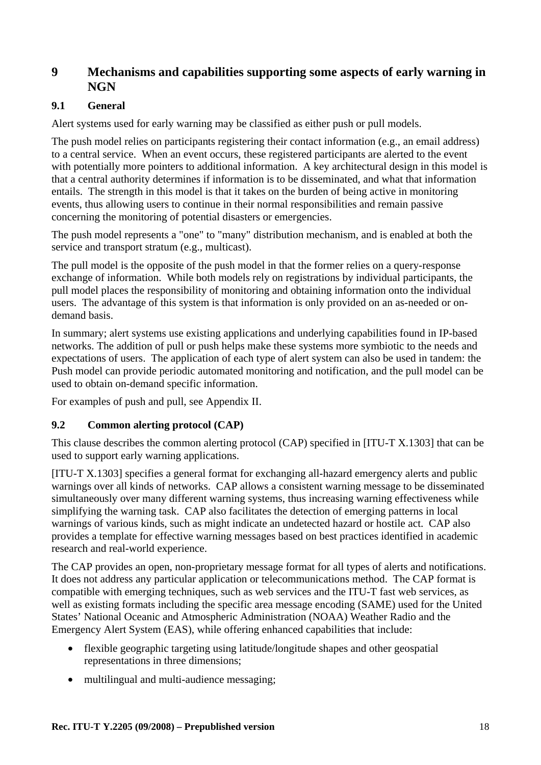## **9 Mechanisms and capabilities supporting some aspects of early warning in NGN**

#### **9.1 General**

Alert systems used for early warning may be classified as either push or pull models.

The push model relies on participants registering their contact information (e.g., an email address) to a central service. When an event occurs, these registered participants are alerted to the event with potentially more pointers to additional information. A key architectural design in this model is that a central authority determines if information is to be disseminated, and what that information entails. The strength in this model is that it takes on the burden of being active in monitoring events, thus allowing users to continue in their normal responsibilities and remain passive concerning the monitoring of potential disasters or emergencies.

The push model represents a "one" to "many" distribution mechanism, and is enabled at both the service and transport stratum (e.g., multicast).

The pull model is the opposite of the push model in that the former relies on a query-response exchange of information. While both models rely on registrations by individual participants, the pull model places the responsibility of monitoring and obtaining information onto the individual users. The advantage of this system is that information is only provided on an as-needed or ondemand basis.

In summary; alert systems use existing applications and underlying capabilities found in IP-based networks. The addition of pull or push helps make these systems more symbiotic to the needs and expectations of users. The application of each type of alert system can also be used in tandem: the Push model can provide periodic automated monitoring and notification, and the pull model can be used to obtain on-demand specific information.

For examples of push and pull, see Appendix II.

#### **9.2 Common alerting protocol (CAP)**

This clause describes the common alerting protocol (CAP) specified in [ITU-T X.1303] that can be used to support early warning applications.

[ITU-T X.1303] specifies a general format for exchanging all-hazard emergency alerts and public warnings over all kinds of networks. CAP allows a consistent warning message to be disseminated simultaneously over many different warning systems, thus increasing warning effectiveness while simplifying the warning task. CAP also facilitates the detection of emerging patterns in local warnings of various kinds, such as might indicate an undetected hazard or hostile act. CAP also provides a template for effective warning messages based on best practices identified in academic research and real-world experience.

The CAP provides an open, non-proprietary message format for all types of alerts and notifications. It does not address any particular application or telecommunications method. The CAP format is compatible with emerging techniques, such as web services and the ITU-T fast web services, as well as existing formats including the specific area message encoding (SAME) used for the United States' National Oceanic and Atmospheric Administration (NOAA) Weather Radio and the Emergency Alert System (EAS), while offering enhanced capabilities that include:

- flexible geographic targeting using latitude/longitude shapes and other geospatial representations in three dimensions;
- multilingual and multi-audience messaging;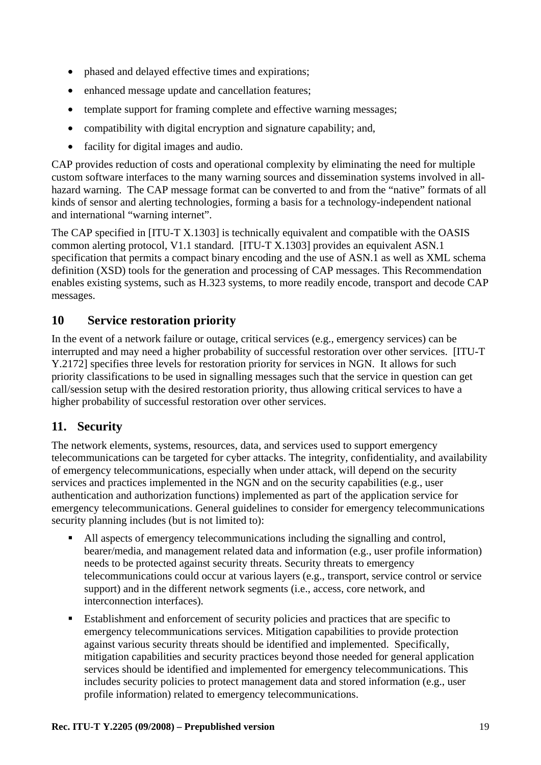- phased and delayed effective times and expirations;
- enhanced message update and cancellation features;
- template support for framing complete and effective warning messages;
- compatibility with digital encryption and signature capability; and,
- facility for digital images and audio.

CAP provides reduction of costs and operational complexity by eliminating the need for multiple custom software interfaces to the many warning sources and dissemination systems involved in allhazard warning. The CAP message format can be converted to and from the "native" formats of all kinds of sensor and alerting technologies, forming a basis for a technology-independent national and international "warning internet".

The CAP specified in [ITU-T X.1303] is technically equivalent and compatible with the OASIS common alerting protocol, V1.1 standard. [ITU-T X.1303] provides an equivalent ASN.1 specification that permits a compact binary encoding and the use of ASN.1 as well as XML schema definition (XSD) tools for the generation and processing of CAP messages. This Recommendation enables existing systems, such as H.323 systems, to more readily encode, transport and decode CAP messages.

# **10 Service restoration priority**

In the event of a network failure or outage, critical services (e.g., emergency services) can be interrupted and may need a higher probability of successful restoration over other services. [ITU-T Y.2172] specifies three levels for restoration priority for services in NGN. It allows for such priority classifications to be used in signalling messages such that the service in question can get call/session setup with the desired restoration priority, thus allowing critical services to have a higher probability of successful restoration over other services.

# **11. Security**

The network elements, systems, resources, data, and services used to support emergency telecommunications can be targeted for cyber attacks. The integrity, confidentiality, and availability of emergency telecommunications, especially when under attack, will depend on the security services and practices implemented in the NGN and on the security capabilities (e.g., user authentication and authorization functions) implemented as part of the application service for emergency telecommunications. General guidelines to consider for emergency telecommunications security planning includes (but is not limited to):

- All aspects of emergency telecommunications including the signalling and control, bearer/media, and management related data and information (e.g., user profile information) needs to be protected against security threats. Security threats to emergency telecommunications could occur at various layers (e.g., transport, service control or service support) and in the different network segments (i.e., access, core network, and interconnection interfaces).
- Establishment and enforcement of security policies and practices that are specific to emergency telecommunications services. Mitigation capabilities to provide protection against various security threats should be identified and implemented. Specifically, mitigation capabilities and security practices beyond those needed for general application services should be identified and implemented for emergency telecommunications. This includes security policies to protect management data and stored information (e.g., user profile information) related to emergency telecommunications.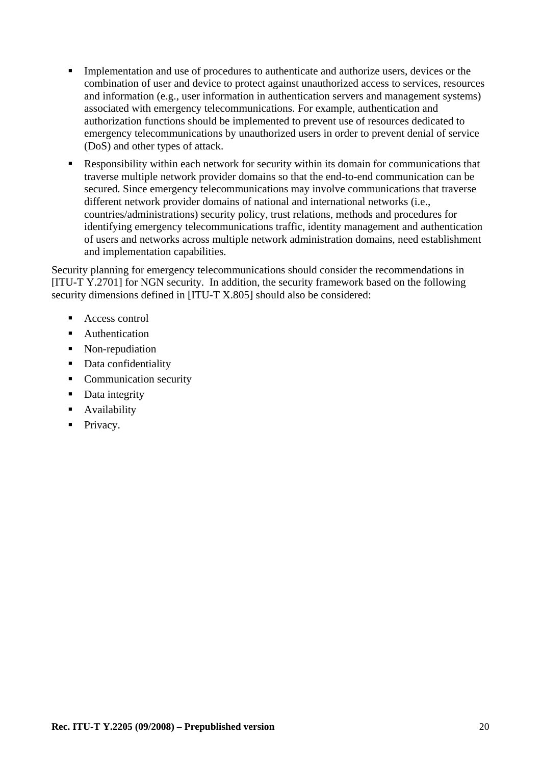- Implementation and use of procedures to authenticate and authorize users, devices or the combination of user and device to protect against unauthorized access to services, resources and information (e.g., user information in authentication servers and management systems) associated with emergency telecommunications. For example, authentication and authorization functions should be implemented to prevent use of resources dedicated to emergency telecommunications by unauthorized users in order to prevent denial of service (DoS) and other types of attack.
- Responsibility within each network for security within its domain for communications that traverse multiple network provider domains so that the end-to-end communication can be secured. Since emergency telecommunications may involve communications that traverse different network provider domains of national and international networks (i.e., countries/administrations) security policy, trust relations, methods and procedures for identifying emergency telecommunications traffic, identity management and authentication of users and networks across multiple network administration domains, need establishment and implementation capabilities.

Security planning for emergency telecommunications should consider the recommendations in [ITU-T Y.2701] for NGN security. In addition, the security framework based on the following security dimensions defined in [ITU-T X.805] should also be considered:

- Access control
- **Authentication**
- Non-repudiation
- Data confidentiality
- Communication security
- Data integrity
- **Availability**
- Privacy.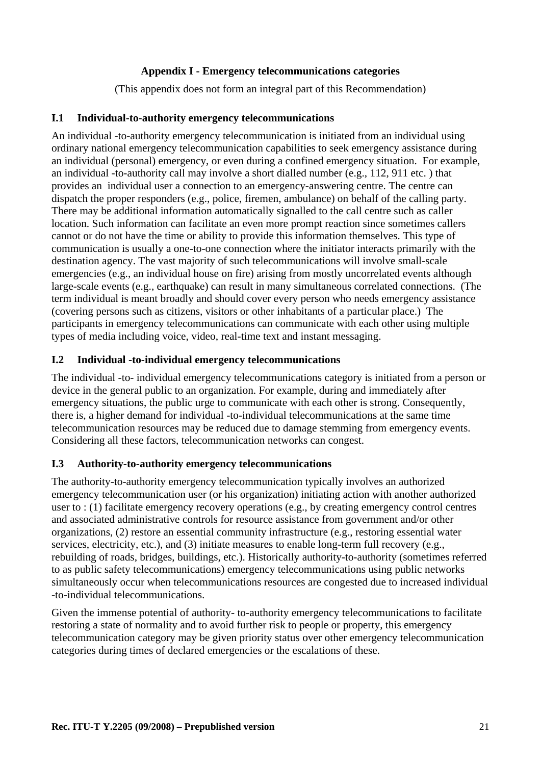#### **Appendix I - Emergency telecommunications categories**

(This appendix does not form an integral part of this Recommendation)

#### **I.1 Individual-to-authority emergency telecommunications**

An individual -to-authority emergency telecommunication is initiated from an individual using ordinary national emergency telecommunication capabilities to seek emergency assistance during an individual (personal) emergency, or even during a confined emergency situation. For example, an individual -to-authority call may involve a short dialled number (e.g., 112, 911 etc. ) that provides an individual user a connection to an emergency-answering centre. The centre can dispatch the proper responders (e.g., police, firemen, ambulance) on behalf of the calling party. There may be additional information automatically signalled to the call centre such as caller location. Such information can facilitate an even more prompt reaction since sometimes callers cannot or do not have the time or ability to provide this information themselves. This type of communication is usually a one-to-one connection where the initiator interacts primarily with the destination agency. The vast majority of such telecommunications will involve small-scale emergencies (e.g., an individual house on fire) arising from mostly uncorrelated events although large-scale events (e.g., earthquake) can result in many simultaneous correlated connections. (The term individual is meant broadly and should cover every person who needs emergency assistance (covering persons such as citizens, visitors or other inhabitants of a particular place.) The participants in emergency telecommunications can communicate with each other using multiple types of media including voice, video, real-time text and instant messaging.

#### **I.2 Individual -to-individual emergency telecommunications**

The individual -to- individual emergency telecommunications category is initiated from a person or device in the general public to an organization. For example, during and immediately after emergency situations, the public urge to communicate with each other is strong. Consequently, there is, a higher demand for individual -to-individual telecommunications at the same time telecommunication resources may be reduced due to damage stemming from emergency events. Considering all these factors, telecommunication networks can congest.

#### **I.3 Authority-to-authority emergency telecommunications**

The authority-to-authority emergency telecommunication typically involves an authorized emergency telecommunication user (or his organization) initiating action with another authorized user to : (1) facilitate emergency recovery operations (e.g., by creating emergency control centres and associated administrative controls for resource assistance from government and/or other organizations, (2) restore an essential community infrastructure (e.g., restoring essential water services, electricity, etc.), and (3) initiate measures to enable long-term full recovery (e.g., rebuilding of roads, bridges, buildings, etc.). Historically authority-to-authority (sometimes referred to as public safety telecommunications) emergency telecommunications using public networks simultaneously occur when telecommunications resources are congested due to increased individual -to-individual telecommunications.

Given the immense potential of authority- to-authority emergency telecommunications to facilitate restoring a state of normality and to avoid further risk to people or property, this emergency telecommunication category may be given priority status over other emergency telecommunication categories during times of declared emergencies or the escalations of these.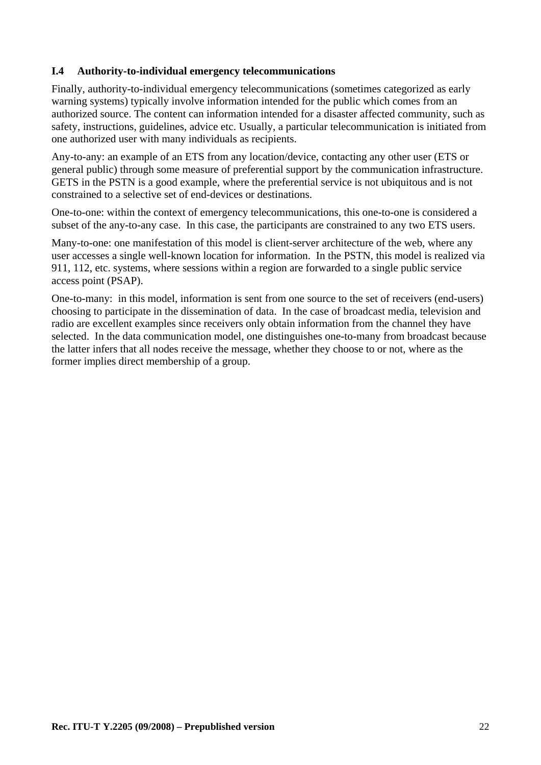#### **I.4 Authority-to-individual emergency telecommunications**

Finally, authority-to-individual emergency telecommunications (sometimes categorized as early warning systems) typically involve information intended for the public which comes from an authorized source. The content can information intended for a disaster affected community, such as safety, instructions, guidelines, advice etc. Usually, a particular telecommunication is initiated from one authorized user with many individuals as recipients.

Any-to-any: an example of an ETS from any location/device, contacting any other user (ETS or general public) through some measure of preferential support by the communication infrastructure. GETS in the PSTN is a good example, where the preferential service is not ubiquitous and is not constrained to a selective set of end-devices or destinations.

One-to-one: within the context of emergency telecommunications, this one-to-one is considered a subset of the any-to-any case. In this case, the participants are constrained to any two ETS users.

Many-to-one: one manifestation of this model is client-server architecture of the web, where any user accesses a single well-known location for information. In the PSTN, this model is realized via 911, 112, etc. systems, where sessions within a region are forwarded to a single public service access point (PSAP).

One-to-many: in this model, information is sent from one source to the set of receivers (end-users) choosing to participate in the dissemination of data. In the case of broadcast media, television and radio are excellent examples since receivers only obtain information from the channel they have selected. In the data communication model, one distinguishes one-to-many from broadcast because the latter infers that all nodes receive the message, whether they choose to or not, where as the former implies direct membership of a group.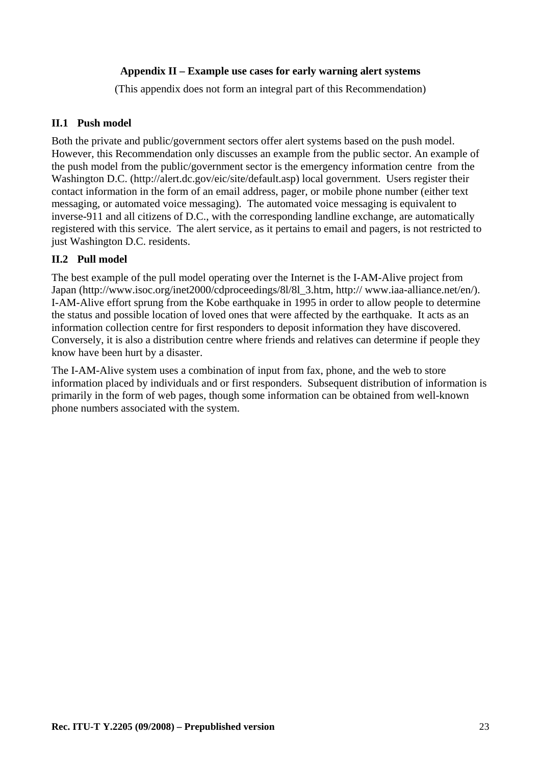#### **Appendix II – Example use cases for early warning alert systems**

(This appendix does not form an integral part of this Recommendation)

#### **II.1 Push model**

Both the private and public/government sectors offer alert systems based on the push model. However, this Recommendation only discusses an example from the public sector. An example of the push model from the public/government sector is the emergency information centre from the Washington D.C. (http://alert.dc.gov/eic/site/default.asp) local government. Users register their contact information in the form of an email address, pager, or mobile phone number (either text messaging, or automated voice messaging). The automated voice messaging is equivalent to inverse-911 and all citizens of D.C., with the corresponding landline exchange, are automatically registered with this service. The alert service, as it pertains to email and pagers, is not restricted to just Washington D.C. residents.

#### **II.2 Pull model**

The best example of the pull model operating over the Internet is the I-AM-Alive project from Japan (http://www.isoc.org/inet2000/cdproceedings/8l/8l\_3.htm, http:// www.iaa-alliance.net/en/). I-AM-Alive effort sprung from the Kobe earthquake in 1995 in order to allow people to determine the status and possible location of loved ones that were affected by the earthquake. It acts as an information collection centre for first responders to deposit information they have discovered. Conversely, it is also a distribution centre where friends and relatives can determine if people they know have been hurt by a disaster.

The I-AM-Alive system uses a combination of input from fax, phone, and the web to store information placed by individuals and or first responders. Subsequent distribution of information is primarily in the form of web pages, though some information can be obtained from well-known phone numbers associated with the system.